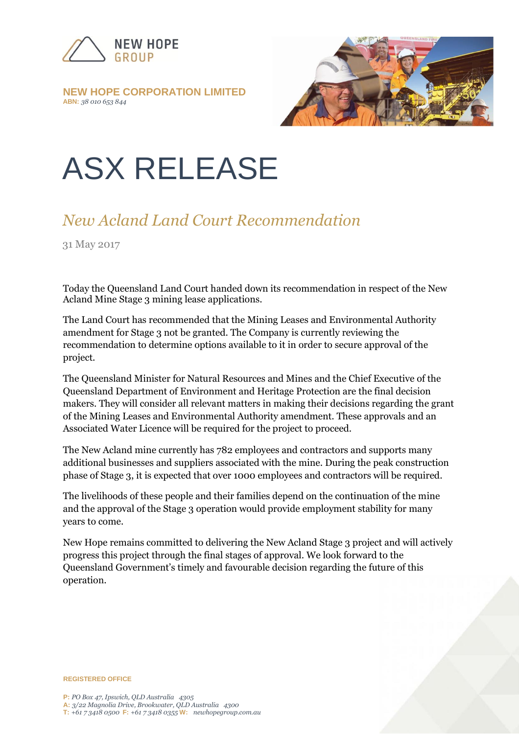

#### **NEW HOPE CORPORATION LIMITED ABN:** *38 010 653 844*



# ASX RELEASE

## *New Acland Land Court Recommendation*

31 May 2017

Today the Queensland Land Court handed down its recommendation in respect of the New Acland Mine Stage 3 mining lease applications.

The Land Court has recommended that the Mining Leases and Environmental Authority amendment for Stage 3 not be granted. The Company is currently reviewing the recommendation to determine options available to it in order to secure approval of the project.

The Queensland Minister for Natural Resources and Mines and the Chief Executive of the Queensland Department of Environment and Heritage Protection are the final decision makers. They will consider all relevant matters in making their decisions regarding the grant of the Mining Leases and Environmental Authority amendment. These approvals and an Associated Water Licence will be required for the project to proceed.

The New Acland mine currently has 782 employees and contractors and supports many additional businesses and suppliers associated with the mine. During the peak construction phase of Stage 3, it is expected that over 1000 employees and contractors will be required.

The livelihoods of these people and their families depend on the continuation of the mine and the approval of the Stage 3 operation would provide employment stability for many years to come.

New Hope remains committed to delivering the New Acland Stage 3 project and will actively progress this project through the final stages of approval. We look forward to the Queensland Government's timely and favourable decision regarding the future of this operation.

**REGISTERED OFFICE**